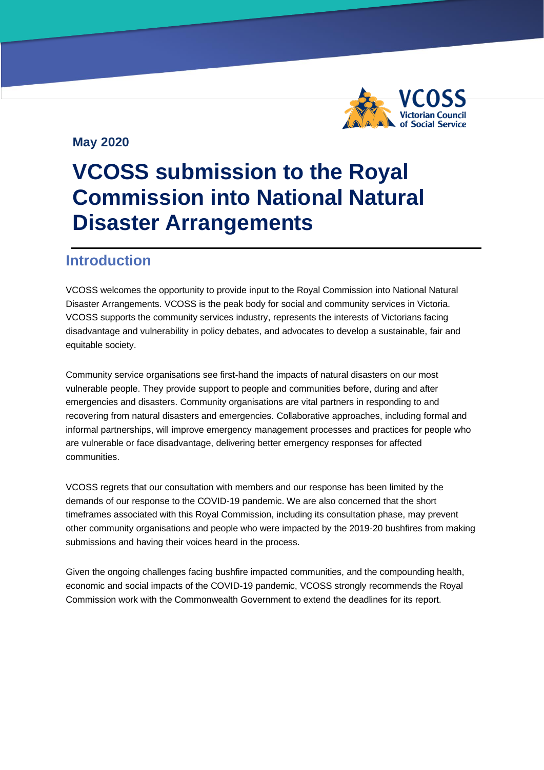

### **May 2020**

# **VCOSS submission to the Royal Commission into National Natural Disaster Arrangements**

### **Introduction**

VCOSS welcomes the opportunity to provide input to the Royal Commission into National Natural Disaster Arrangements. VCOSS is the peak body for social and community services in Victoria. VCOSS supports the community services industry, represents the interests of Victorians facing disadvantage and vulnerability in policy debates, and advocates to develop a sustainable, fair and equitable society.

Community service organisations see first-hand the impacts of natural disasters on our most vulnerable people. They provide support to people and communities before, during and after emergencies and disasters. Community organisations are vital partners in responding to and recovering from natural disasters and emergencies. Collaborative approaches, including formal and informal partnerships, will improve emergency management processes and practices for people who are vulnerable or face disadvantage, delivering better emergency responses for affected communities.

VCOSS regrets that our consultation with members and our response has been limited by the demands of our response to the COVID-19 pandemic. We are also concerned that the short timeframes associated with this Royal Commission, including its consultation phase, may prevent other community organisations and people who were impacted by the 2019-20 bushfires from making submissions and having their voices heard in the process.

Given the ongoing challenges facing bushfire impacted communities, and the compounding health, economic and social impacts of the COVID-19 pandemic, VCOSS strongly recommends the Royal Commission work with the Commonwealth Government to extend the deadlines for its report.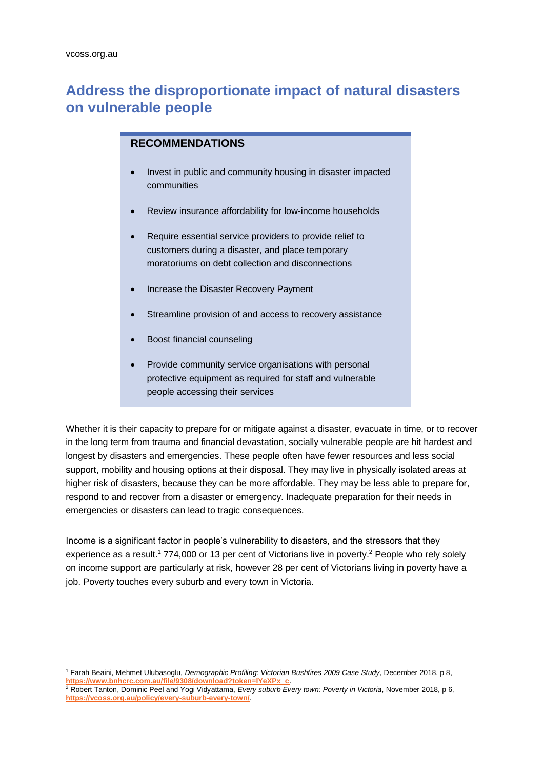# **Address the disproportionate impact of natural disasters on vulnerable people**

### **RECOMMENDATIONS**

- Invest in public and community housing in disaster impacted communities
- Review insurance affordability for low-income households
- Require essential service providers to provide relief to customers during a disaster, and place temporary moratoriums on debt collection and disconnections
- Increase the Disaster Recovery Payment
- Streamline provision of and access to recovery assistance
- Boost financial counseling
- Provide community service organisations with personal protective equipment as required for staff and vulnerable people accessing their services

Whether it is their capacity to prepare for or mitigate against a disaster, evacuate in time, or to recover in the long term from trauma and financial devastation, socially vulnerable people are hit hardest and longest by disasters and emergencies. These people often have fewer resources and less social support, mobility and housing options at their disposal. They may live in physically isolated areas at higher risk of disasters, because they can be more affordable. They may be less able to prepare for, respond to and recover from a disaster or emergency. Inadequate preparation for their needs in emergencies or disasters can lead to tragic consequences.

Income is a significant factor in people's vulnerability to disasters, and the stressors that they experience as a result.<sup>1</sup> 774,000 or 13 per cent of Victorians live in poverty.<sup>2</sup> People who rely solely on income support are particularly at risk, however 28 per cent of Victorians living in poverty have a job. Poverty touches every suburb and every town in Victoria.

<sup>1</sup> Farah Beaini, Mehmet Ulubasoglu, *Demographic Profiling: Victorian Bushfires 2009 Case Study*, December 2018, p 8, **[https://www.bnhcrc.com.au/file/9308/download?token=lYeXPx\\_c](https://www.bnhcrc.com.au/file/9308/download?token=lYeXPx_c)**.

<sup>2</sup> Robert Tanton, Dominic Peel and Yogi Vidyattama, *Every suburb Every town: Poverty in Victoria*, November 2018, p 6, **<https://vcoss.org.au/policy/every-suburb-every-town/>**.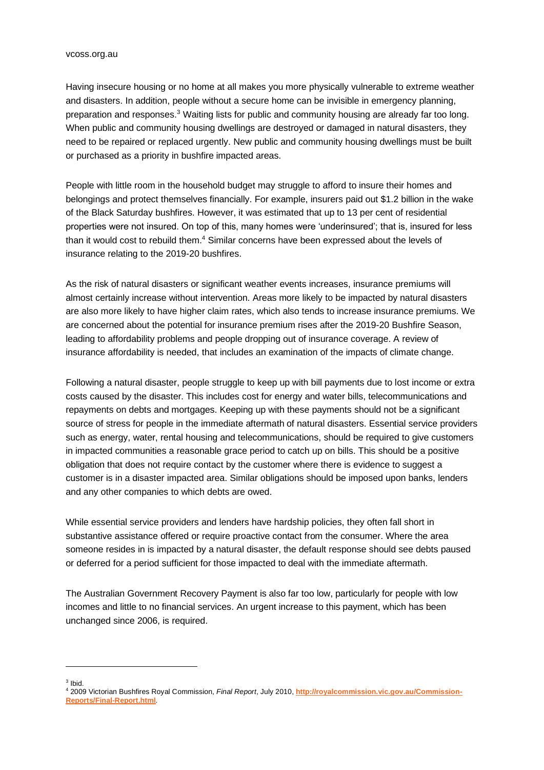Having insecure housing or no home at all makes you more physically vulnerable to extreme weather and disasters. In addition, people without a secure home can be invisible in emergency planning, preparation and responses.<sup>3</sup> Waiting lists for public and community housing are already far too long. When public and community housing dwellings are destroyed or damaged in natural disasters, they need to be repaired or replaced urgently. New public and community housing dwellings must be built or purchased as a priority in bushfire impacted areas.

People with little room in the household budget may struggle to afford to insure their homes and belongings and protect themselves financially. For example, insurers paid out \$1.2 billion in the wake of the Black Saturday bushfires. However, it was estimated that up to 13 per cent of residential properties were not insured. On top of this, many homes were 'underinsured'; that is, insured for less than it would cost to rebuild them.<sup>4</sup> Similar concerns have been expressed about the levels of insurance relating to the 2019-20 bushfires.

As the risk of natural disasters or significant weather events increases, insurance premiums will almost certainly increase without intervention. Areas more likely to be impacted by natural disasters are also more likely to have higher claim rates, which also tends to increase insurance premiums. We are concerned about the potential for insurance premium rises after the 2019-20 Bushfire Season, leading to affordability problems and people dropping out of insurance coverage. A review of insurance affordability is needed, that includes an examination of the impacts of climate change.

Following a natural disaster, people struggle to keep up with bill payments due to lost income or extra costs caused by the disaster. This includes cost for energy and water bills, telecommunications and repayments on debts and mortgages. Keeping up with these payments should not be a significant source of stress for people in the immediate aftermath of natural disasters. Essential service providers such as energy, water, rental housing and telecommunications, should be required to give customers in impacted communities a reasonable grace period to catch up on bills. This should be a positive obligation that does not require contact by the customer where there is evidence to suggest a customer is in a disaster impacted area. Similar obligations should be imposed upon banks, lenders and any other companies to which debts are owed.

While essential service providers and lenders have hardship policies, they often fall short in substantive assistance offered or require proactive contact from the consumer. Where the area someone resides in is impacted by a natural disaster, the default response should see debts paused or deferred for a period sufficient for those impacted to deal with the immediate aftermath.

The Australian Government Recovery Payment is also far too low, particularly for people with low incomes and little to no financial services. An urgent increase to this payment, which has been unchanged since 2006, is required.

 $3$  Ibid.

<sup>4</sup> 2009 Victorian Bushfires Royal Commission, *Final Report*, July 2010, **[http://royalcommission.vic.gov.au/Commission-](http://royalcommission.vic.gov.au/Commission-Reports/Final-Report.html)[Reports/Final-Report.html](http://royalcommission.vic.gov.au/Commission-Reports/Final-Report.html)**.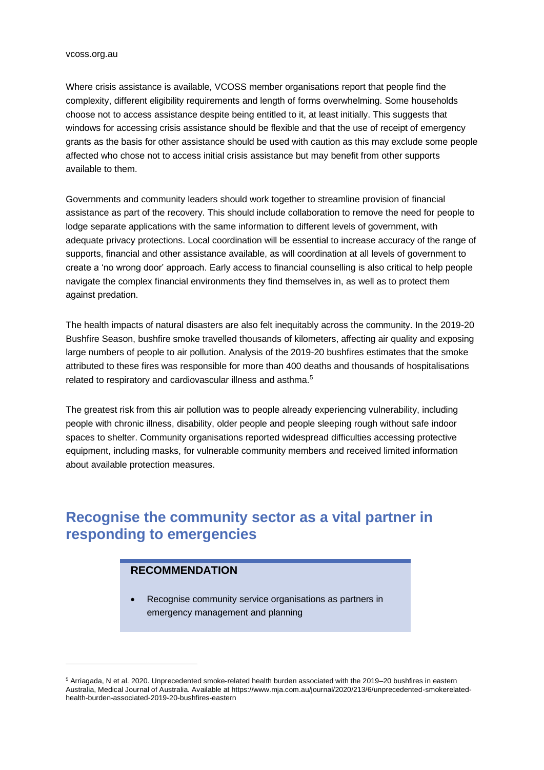Where crisis assistance is available, VCOSS member organisations report that people find the complexity, different eligibility requirements and length of forms overwhelming. Some households choose not to access assistance despite being entitled to it, at least initially. This suggests that windows for accessing crisis assistance should be flexible and that the use of receipt of emergency grants as the basis for other assistance should be used with caution as this may exclude some people affected who chose not to access initial crisis assistance but may benefit from other supports available to them.

Governments and community leaders should work together to streamline provision of financial assistance as part of the recovery. This should include collaboration to remove the need for people to lodge separate applications with the same information to different levels of government, with adequate privacy protections. Local coordination will be essential to increase accuracy of the range of supports, financial and other assistance available, as will coordination at all levels of government to create a 'no wrong door' approach. Early access to financial counselling is also critical to help people navigate the complex financial environments they find themselves in, as well as to protect them against predation.

The health impacts of natural disasters are also felt inequitably across the community. In the 2019-20 Bushfire Season, bushfire smoke travelled thousands of kilometers, affecting air quality and exposing large numbers of people to air pollution. Analysis of the 2019-20 bushfires estimates that the smoke attributed to these fires was responsible for more than 400 deaths and thousands of hospitalisations related to respiratory and cardiovascular illness and asthma.<sup>5</sup>

The greatest risk from this air pollution was to people already experiencing vulnerability, including people with chronic illness, disability, older people and people sleeping rough without safe indoor spaces to shelter. Community organisations reported widespread difficulties accessing protective equipment, including masks, for vulnerable community members and received limited information about available protection measures.

### **Recognise the community sector as a vital partner in responding to emergencies**

### **RECOMMENDATION**

Recognise community service organisations as partners in emergency management and planning

<sup>5</sup> Arriagada, N et al. 2020. Unprecedented smoke-related health burden associated with the 2019–20 bushfires in eastern Australia, Medical Journal of Australia. Available at https://www.mja.com.au/journal/2020/213/6/unprecedented-smokerelatedhealth-burden-associated-2019-20-bushfires-eastern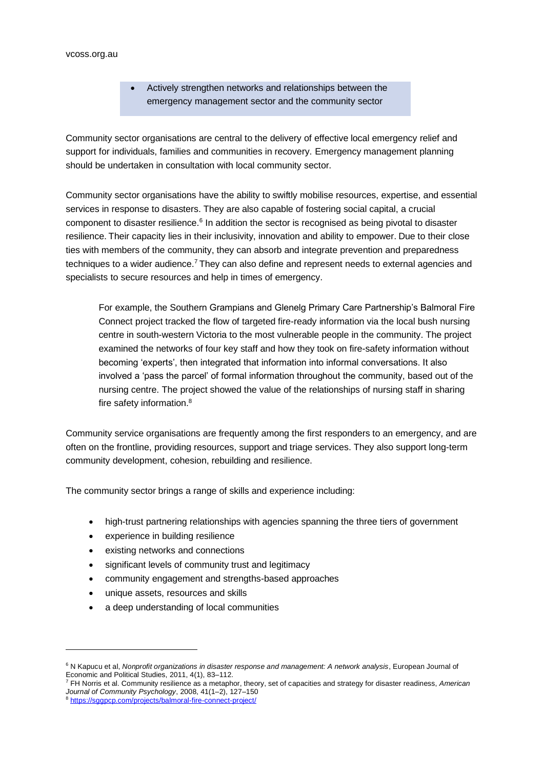• Actively strengthen networks and relationships between the emergency management sector and the community sector

Community sector organisations are central to the delivery of effective local emergency relief and support for individuals, families and communities in recovery. Emergency management planning should be undertaken in consultation with local community sector.

Community sector organisations have the ability to swiftly mobilise resources, expertise, and essential services in response to disasters. They are also capable of fostering social capital, a crucial component to disaster resilience.<sup>6</sup> In addition the sector is recognised as being pivotal to disaster resilience. Their capacity lies in their inclusivity, innovation and ability to empower. Due to their close ties with members of the community, they can absorb and integrate prevention and preparedness techniques to a wider audience.<sup>7</sup> They can also define and represent needs to external agencies and specialists to secure resources and help in times of emergency.

For example, the Southern Grampians and Glenelg Primary Care Partnership's Balmoral Fire Connect project tracked the flow of targeted fire-ready information via the local bush nursing centre in south-western Victoria to the most vulnerable people in the community. The project examined the networks of four key staff and how they took on fire-safety information without becoming 'experts', then integrated that information into informal conversations. It also involved a 'pass the parcel' of formal information throughout the community, based out of the nursing centre. The project showed the value of the relationships of nursing staff in sharing fire safety information.<sup>8</sup>

Community service organisations are frequently among the first responders to an emergency, and are often on the frontline, providing resources, support and triage services. They also support long-term community development, cohesion, rebuilding and resilience.

The community sector brings a range of skills and experience including:

- high-trust partnering relationships with agencies spanning the three tiers of government
- experience in building resilience
- existing networks and connections
- significant levels of community trust and legitimacy
- community engagement and strengths-based approaches
- unique assets, resources and skills
- a deep understanding of local communities

8 <https://sggpcp.com/projects/balmoral-fire-connect-project/>

<sup>6</sup> N Kapucu et al, *Nonprofit organizations in disaster response and management: A network analysis*, European Journal of Economic and Political Studies, 2011, 4(1), 83–112.

<sup>7</sup> FH Norris et al. Community resilience as a metaphor, theory, set of capacities and strategy for disaster readiness, *American Journal of Community Psychology*, 2008, 41(1–2), 127–150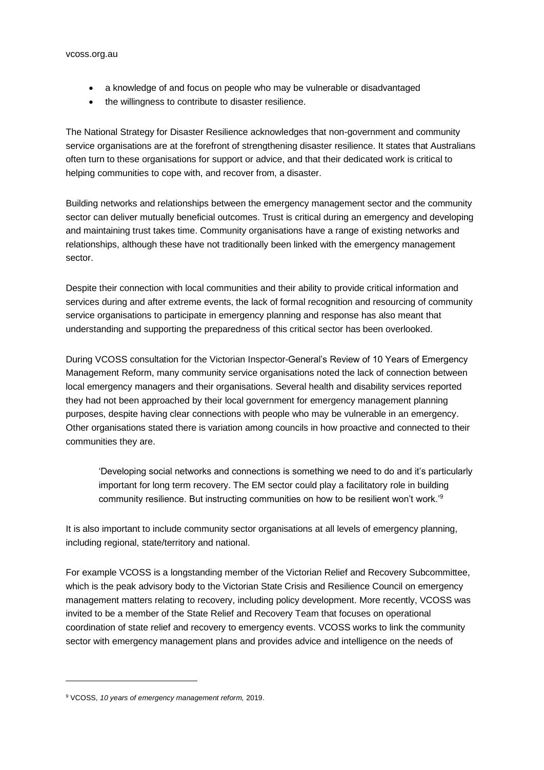- a knowledge of and focus on people who may be vulnerable or disadvantaged
- the willingness to contribute to disaster resilience.

The National Strategy for Disaster Resilience acknowledges that non-government and community service organisations are at the forefront of strengthening disaster resilience. It states that Australians often turn to these organisations for support or advice, and that their dedicated work is critical to helping communities to cope with, and recover from, a disaster.

Building networks and relationships between the emergency management sector and the community sector can deliver mutually beneficial outcomes. Trust is critical during an emergency and developing and maintaining trust takes time. Community organisations have a range of existing networks and relationships, although these have not traditionally been linked with the emergency management sector.

Despite their connection with local communities and their ability to provide critical information and services during and after extreme events, the lack of formal recognition and resourcing of community service organisations to participate in emergency planning and response has also meant that understanding and supporting the preparedness of this critical sector has been overlooked.

During VCOSS consultation for the Victorian Inspector-General's Review of 10 Years of Emergency Management Reform, many community service organisations noted the lack of connection between local emergency managers and their organisations. Several health and disability services reported they had not been approached by their local government for emergency management planning purposes, despite having clear connections with people who may be vulnerable in an emergency. Other organisations stated there is variation among councils in how proactive and connected to their communities they are.

'Developing social networks and connections is something we need to do and it's particularly important for long term recovery. The EM sector could play a facilitatory role in building community resilience. But instructing communities on how to be resilient won't work.'<sup>9</sup>

It is also important to include community sector organisations at all levels of emergency planning, including regional, state/territory and national.

For example VCOSS is a longstanding member of the Victorian Relief and Recovery Subcommittee, which is the peak advisory body to the Victorian State Crisis and Resilience Council on emergency management matters relating to recovery, including policy development. More recently, VCOSS was invited to be a member of the State Relief and Recovery Team that focuses on operational coordination of state relief and recovery to emergency events. VCOSS works to link the community sector with emergency management plans and provides advice and intelligence on the needs of

<sup>9</sup> VCOSS, *10 years of emergency management reform,* 2019.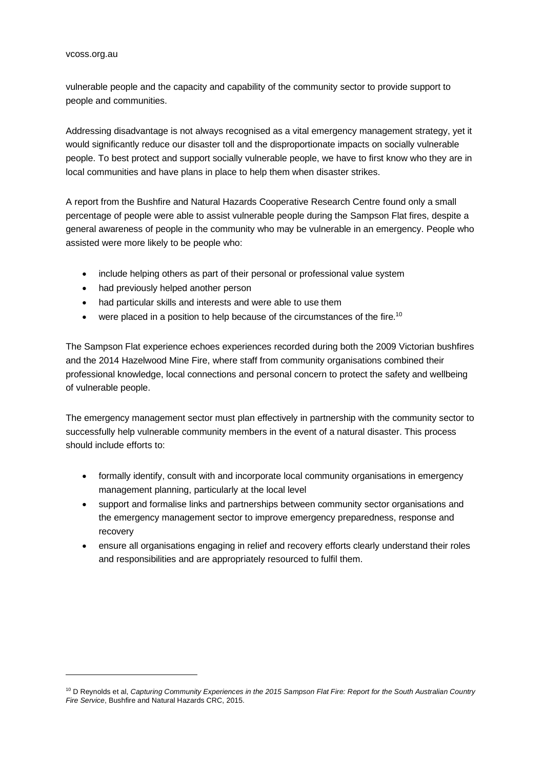#### vcoss.org.au

vulnerable people and the capacity and capability of the community sector to provide support to people and communities.

Addressing disadvantage is not always recognised as a vital emergency management strategy, yet it would significantly reduce our disaster toll and the disproportionate impacts on socially vulnerable people. To best protect and support socially vulnerable people, we have to first know who they are in local communities and have plans in place to help them when disaster strikes.

A report from the Bushfire and Natural Hazards Cooperative Research Centre found only a small percentage of people were able to assist vulnerable people during the Sampson Flat fires, despite a general awareness of people in the community who may be vulnerable in an emergency. People who assisted were more likely to be people who:

- include helping others as part of their personal or professional value system
- had previously helped another person
- had particular skills and interests and were able to use them
- were placed in a position to help because of the circumstances of the fire.<sup>10</sup>

The Sampson Flat experience echoes experiences recorded during both the 2009 Victorian bushfires and the 2014 Hazelwood Mine Fire, where staff from community organisations combined their professional knowledge, local connections and personal concern to protect the safety and wellbeing of vulnerable people.

The emergency management sector must plan effectively in partnership with the community sector to successfully help vulnerable community members in the event of a natural disaster. This process should include efforts to:

- formally identify, consult with and incorporate local community organisations in emergency management planning, particularly at the local level
- support and formalise links and partnerships between community sector organisations and the emergency management sector to improve emergency preparedness, response and recovery
- ensure all organisations engaging in relief and recovery efforts clearly understand their roles and responsibilities and are appropriately resourced to fulfil them.

<sup>10</sup> D Reynolds et al, *Capturing Community Experiences in the 2015 Sampson Flat Fire: Report for the South Australian Country Fire Service*, Bushfire and Natural Hazards CRC, 2015.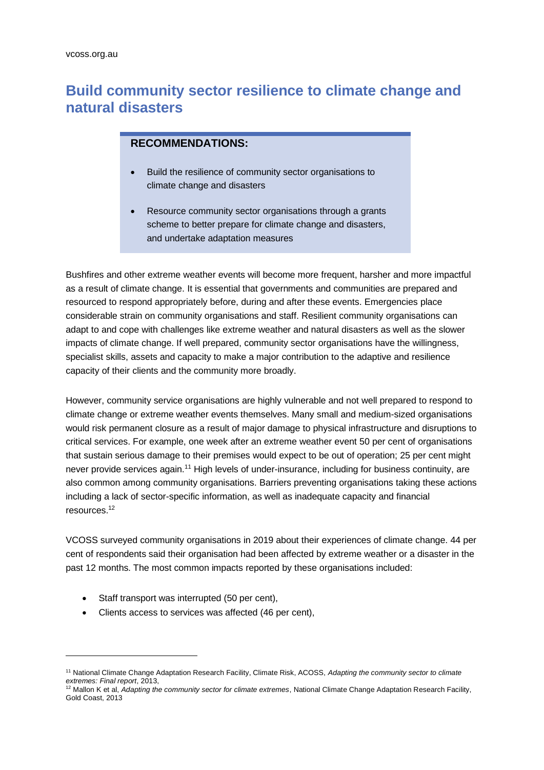# **Build community sector resilience to climate change and natural disasters**

#### **RECOMMENDATIONS:**

- Build the resilience of community sector organisations to climate change and disasters
- Resource community sector organisations through a grants scheme to better prepare for climate change and disasters, and undertake adaptation measures

Bushfires and other extreme weather events will become more frequent, harsher and more impactful as a result of climate change. It is essential that governments and communities are prepared and resourced to respond appropriately before, during and after these events. Emergencies place considerable strain on community organisations and staff. Resilient community organisations can adapt to and cope with challenges like extreme weather and natural disasters as well as the slower impacts of climate change. If well prepared, community sector organisations have the willingness, specialist skills, assets and capacity to make a major contribution to the adaptive and resilience capacity of their clients and the community more broadly.

However, community service organisations are highly vulnerable and not well prepared to respond to climate change or extreme weather events themselves. Many small and medium-sized organisations would risk permanent closure as a result of major damage to physical infrastructure and disruptions to critical services. For example, one week after an extreme weather event 50 per cent of organisations that sustain serious damage to their premises would expect to be out of operation; 25 per cent might never provide services again.<sup>11</sup> High levels of under-insurance, including for business continuity, are also common among community organisations. Barriers preventing organisations taking these actions including a lack of sector-specific information, as well as inadequate capacity and financial resources.<sup>12</sup>

VCOSS surveyed community organisations in 2019 about their experiences of climate change. 44 per cent of respondents said their organisation had been affected by extreme weather or a disaster in the past 12 months. The most common impacts reported by these organisations included:

- Staff transport was interrupted (50 per cent),
- Clients access to services was affected (46 per cent),

<sup>11</sup> National Climate Change Adaptation Research Facility, Climate Risk, ACOSS, *Adapting the community sector to climate extremes: Final report*, 2013,

<sup>12</sup> Mallon K et al, *Adapting the community sector for climate extremes*, National Climate Change Adaptation Research Facility, Gold Coast, 2013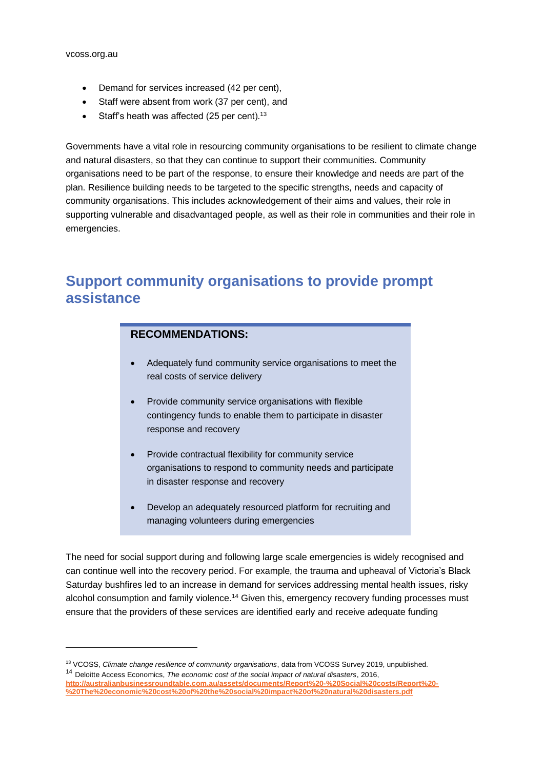- Demand for services increased (42 per cent),
- Staff were absent from work (37 per cent), and
- Staff's heath was affected  $(25 \text{ per cent})$ .<sup>13</sup>

Governments have a vital role in resourcing community organisations to be resilient to climate change and natural disasters, so that they can continue to support their communities. Community organisations need to be part of the response, to ensure their knowledge and needs are part of the plan. Resilience building needs to be targeted to the specific strengths, needs and capacity of community organisations. This includes acknowledgement of their aims and values, their role in supporting vulnerable and disadvantaged people, as well as their role in communities and their role in emergencies.

### **Support community organisations to provide prompt assistance**

#### **RECOMMENDATIONS:**

- Adequately fund community service organisations to meet the real costs of service delivery
- Provide community service organisations with flexible contingency funds to enable them to participate in disaster response and recovery
- Provide contractual flexibility for community service organisations to respond to community needs and participate in disaster response and recovery
- Develop an adequately resourced platform for recruiting and managing volunteers during emergencies

The need for social support during and following large scale emergencies is widely recognised and can continue well into the recovery period. For example, the trauma and upheaval of Victoria's Black Saturday bushfires led to an increase in demand for services addressing mental health issues, risky alcohol consumption and family violence.<sup>14</sup> Given this, emergency recovery funding processes must ensure that the providers of these services are identified early and receive adequate funding

<sup>13</sup> VCOSS, *Climate change resilience of community organisations*, data from VCOSS Survey 2019, unpublished. <sup>14</sup> Deloitte Access Economics, *The economic cost of the social impact of natural disasters*, 2016, **[http://australianbusinessroundtable.com.au/assets/documents/Report%20-%20Social%20costs/Report%20-](http://australianbusinessroundtable.com.au/assets/documents/Report%20-%20Social%20costs/Report%20-%20The%20economic%20cost%20of%20the%20social%20impact%20of%20natural%20disasters.pdf) [%20The%20economic%20cost%20of%20the%20social%20impact%20of%20natural%20disasters.pdf](http://australianbusinessroundtable.com.au/assets/documents/Report%20-%20Social%20costs/Report%20-%20The%20economic%20cost%20of%20the%20social%20impact%20of%20natural%20disasters.pdf)**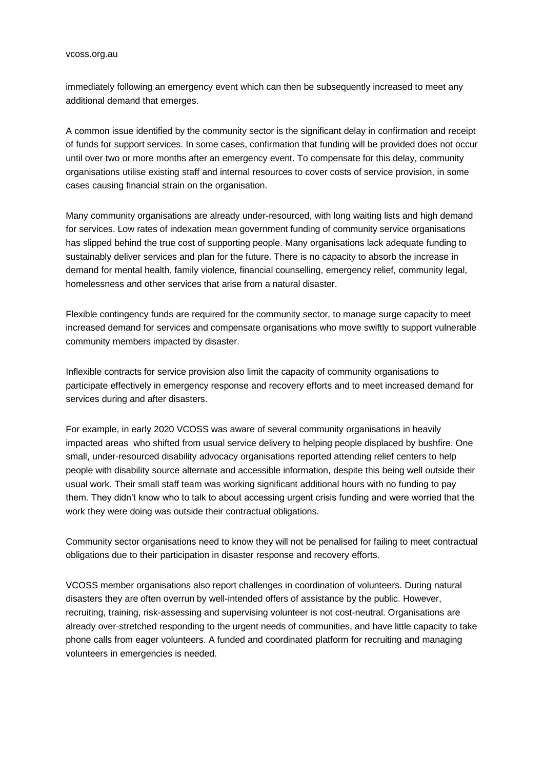#### vcoss.org.au

immediately following an emergency event which can then be subsequently increased to meet any additional demand that emerges.

A common issue identified by the community sector is the significant delay in confirmation and receipt of funds for support services. In some cases, confirmation that funding will be provided does not occur until over two or more months after an emergency event. To compensate for this delay, community organisations utilise existing staff and internal resources to cover costs of service provision, in some cases causing financial strain on the organisation.

Many community organisations are already under-resourced, with long waiting lists and high demand for services. Low rates of indexation mean government funding of community service organisations has slipped behind the true cost of supporting people. Many organisations lack adequate funding to sustainably deliver services and plan for the future. There is no capacity to absorb the increase in demand for mental health, family violence, financial counselling, emergency relief, community legal, homelessness and other services that arise from a natural disaster.

Flexible contingency funds are required for the community sector, to manage surge capacity to meet increased demand for services and compensate organisations who move swiftly to support vulnerable community members impacted by disaster.

Inflexible contracts for service provision also limit the capacity of community organisations to participate effectively in emergency response and recovery efforts and to meet increased demand for services during and after disasters.

For example, in early 2020 VCOSS was aware of several community organisations in heavily impacted areas who shifted from usual service delivery to helping people displaced by bushfire. One small, under-resourced disability advocacy organisations reported attending relief centers to help people with disability source alternate and accessible information, despite this being well outside their usual work. Their small staff team was working significant additional hours with no funding to pay them. They didn't know who to talk to about accessing urgent crisis funding and were worried that the work they were doing was outside their contractual obligations.

Community sector organisations need to know they will not be penalised for failing to meet contractual obligations due to their participation in disaster response and recovery efforts.

VCOSS member organisations also report challenges in coordination of volunteers. During natural disasters they are often overrun by well-intended offers of assistance by the public. However, recruiting, training, risk-assessing and supervising volunteer is not cost-neutral. Organisations are already over-stretched responding to the urgent needs of communities, and have little capacity to take phone calls from eager volunteers. A funded and coordinated platform for recruiting and managing volunteers in emergencies is needed.